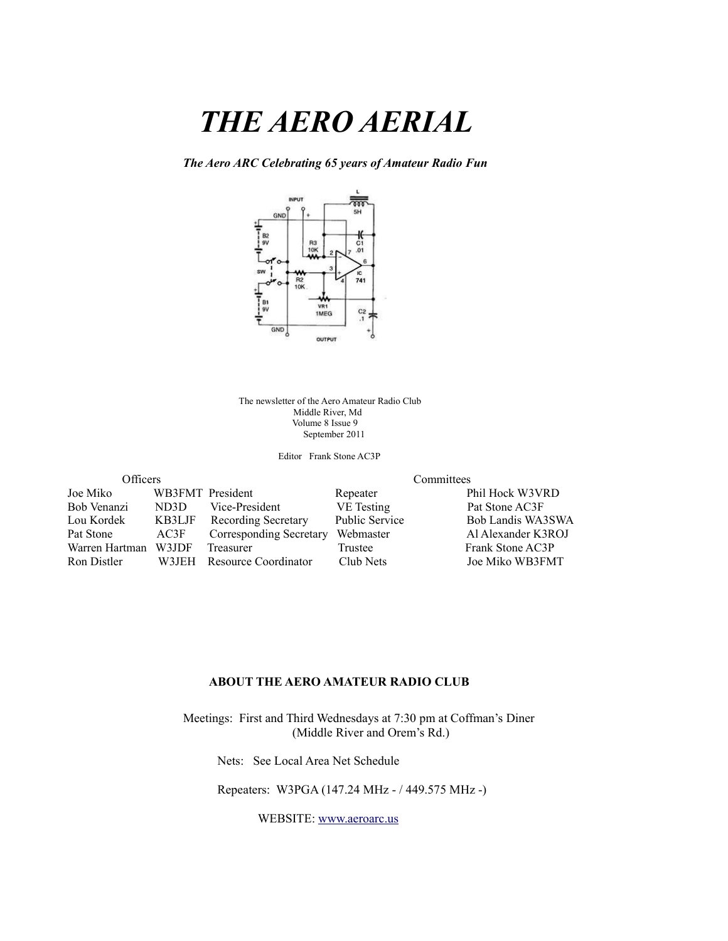# *THE AERO AERIAL*

*The Aero ARC Celebrating 65 years of Amateur Radio Fun*



The newsletter of the Aero Amateur Radio Club Middle River, Md Volume 8 Issue 9 September 2011

Editor Frank Stone AC3P

| Officers       |                  | Committees                 |                       |                    |  |
|----------------|------------------|----------------------------|-----------------------|--------------------|--|
| Joe Miko       | WB3FMT President |                            | Repeater              | Phil Hock W3VRD    |  |
| Bob Venanzi    | ND3D             | Vice-President             | VE Testing            | Pat Stone AC3F     |  |
| Lou Kordek     | KB3LJF           | <b>Recording Secretary</b> | <b>Public Service</b> | Bob Landis WA3SWA  |  |
| Pat Stone      | AC3F             | Corresponding Secretary    | Webmaster             | Al Alexander K3ROJ |  |
| Warren Hartman | W3JDF            | Treasurer                  | Trustee               | Frank Stone AC3P   |  |
| Ron Distler    |                  | W3JEH Resource Coordinator | Club Nets             | Joe Miko WB3FMT    |  |

#### **ABOUT THE AERO AMATEUR RADIO CLUB**

 Meetings: First and Third Wednesdays at 7:30 pm at Coffman's Diner (Middle River and Orem's Rd.)

Nets: See Local Area Net Schedule

Repeaters: W3PGA (147.24 MHz - / 449.575 MHz -)

WEBSITE: [www.aeroarc.us](http://www.aeroarc.us/)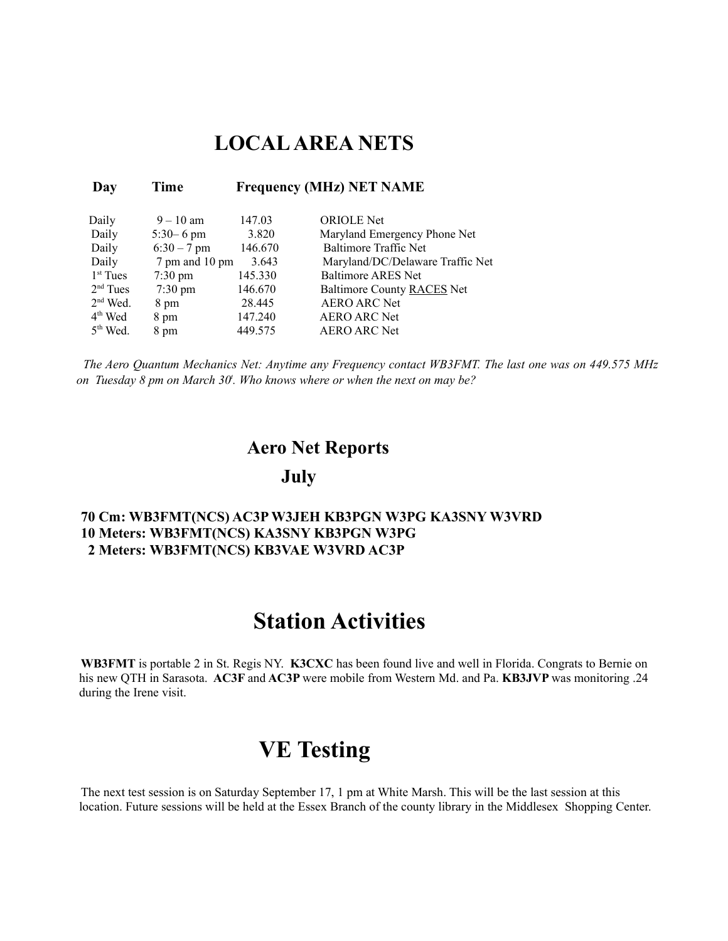### **LOCAL AREA NETS**

| Day                  | Time              | <b>Frequency (MHz) NET NAME</b> |                                  |  |  |
|----------------------|-------------------|---------------------------------|----------------------------------|--|--|
| Daily                | $9 - 10$ am       | 147.03                          | <b>ORIOLE</b> Net                |  |  |
| Daily                | $5:30 - 6$ pm     | 3.820                           | Maryland Emergency Phone Net     |  |  |
| Daily                | $6:30 - 7$ pm     | 146.670                         | Baltimore Traffic Net            |  |  |
| Daily                | 7 pm and 10 pm    | 3.643                           | Maryland/DC/Delaware Traffic Net |  |  |
| 1 <sup>st</sup> Tues | $7:30 \text{ pm}$ | 145.330                         | <b>Baltimore ARES Net</b>        |  |  |
| $2nd$ Tues           | $7:30 \text{ pm}$ | 146.670                         | Baltimore County RACES Net       |  |  |
| $2nd$ Wed.           | 8 pm              | 28.445                          | <b>AERO ARC Net</b>              |  |  |
| $4th$ Wed            | 8 pm              | 147.240                         | <b>AERO ARC Net</b>              |  |  |
| $5th$ Wed.           | 8 pm              | 449.575                         | <b>AERO ARC Net</b>              |  |  |

*The Aero Quantum Mechanics Net: Anytime any Frequency contact WB3FMT. The last one was on 449.575 MHz on Tuesday 8 pm on March 30<sup>t</sup> . Who knows where or when the next on may be?*

#### **Aero Net Reports**

#### **July**

#### **70 Cm: WB3FMT(NCS) AC3P W3JEH KB3PGN W3PG KA3SNY W3VRD 10 Meters: WB3FMT(NCS) KA3SNY KB3PGN W3PG 2 Meters: WB3FMT(NCS) KB3VAE W3VRD AC3P**

## **Station Activities**

**WB3FMT** is portable 2 in St. Regis NY. **K3CXC** has been found live and well in Florida. Congrats to Bernie on his new QTH in Sarasota. **AC3F** and **AC3P** were mobile from Western Md. and Pa. **KB3JVP** was monitoring .24 during the Irene visit.

## **VE Testing**

The next test session is on Saturday September 17, 1 pm at White Marsh. This will be the last session at this location. Future sessions will be held at the Essex Branch of the county library in the Middlesex Shopping Center.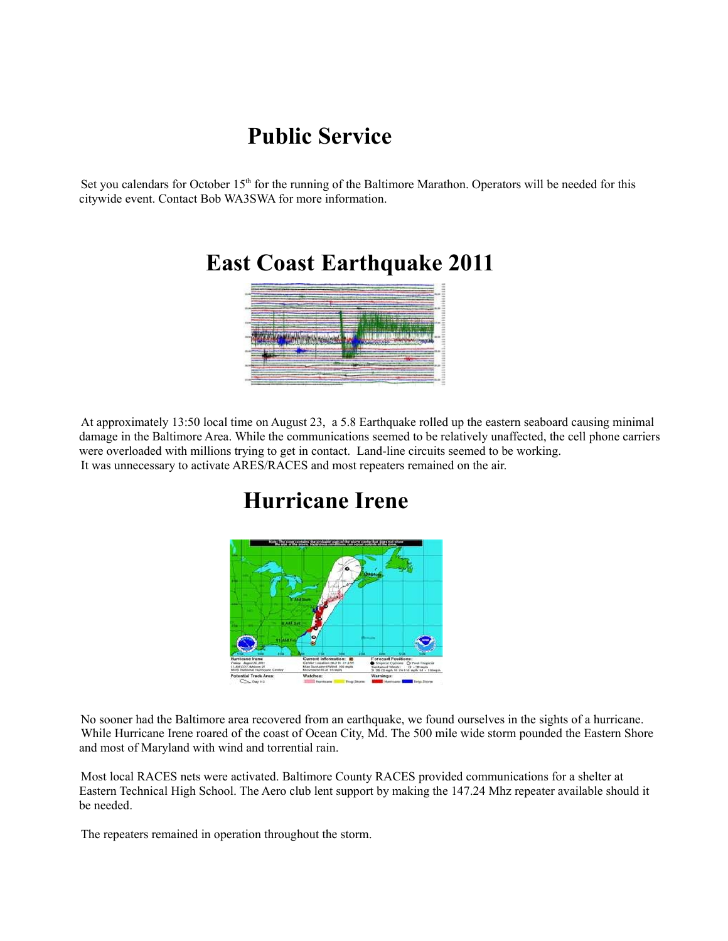## **Public Service**

Set you calendars for October  $15<sup>th</sup>$  for the running of the Baltimore Marathon. Operators will be needed for this citywide event. Contact Bob WA3SWA for more information.



 **East Coast Earthquake 2011**

At approximately 13:50 local time on August 23, a 5.8 Earthquake rolled up the eastern seaboard causing minimal damage in the Baltimore Area. While the communications seemed to be relatively unaffected, the cell phone carriers were overloaded with millions trying to get in contact. Land-line circuits seemed to be working. It was unnecessary to activate ARES/RACES and most repeaters remained on the air.

## **Hurricane Irene**

No sooner had the Baltimore area recovered from an earthquake, we found ourselves in the sights of a hurricane. While Hurricane Irene roared of the coast of Ocean City, Md. The 500 mile wide storm pounded the Eastern Shore and most of Maryland with wind and torrential rain.

Most local RACES nets were activated. Baltimore County RACES provided communications for a shelter at Eastern Technical High School. The Aero club lent support by making the 147.24 Mhz repeater available should it be needed.

The repeaters remained in operation throughout the storm.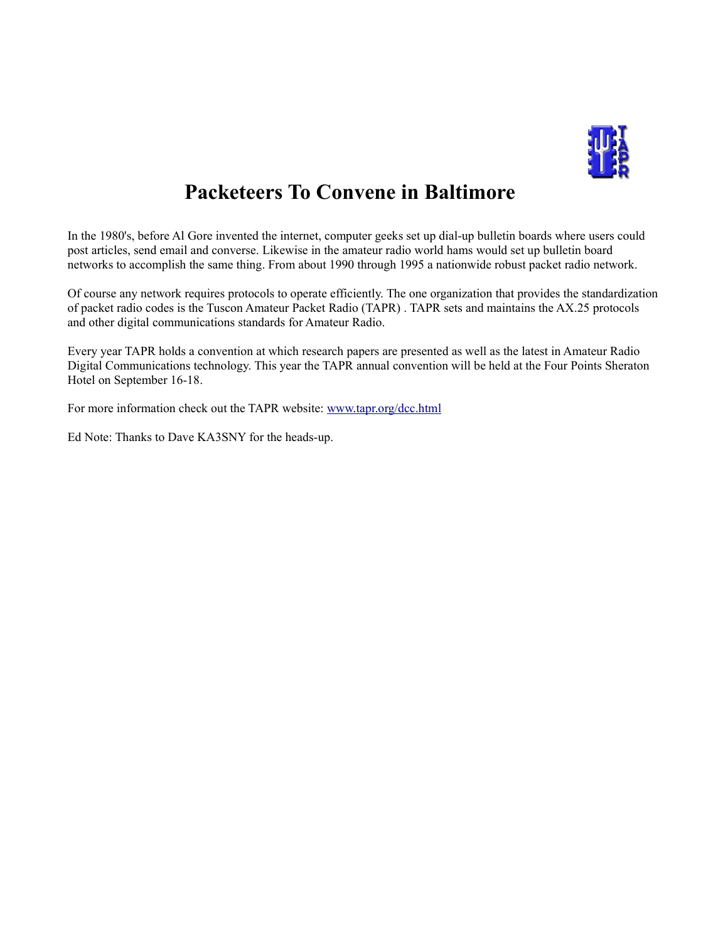

## **Packeteers To Convene in Baltimore**

In the 1980's, before Al Gore invented the internet, computer geeks set up dial-up bulletin boards where users could post articles, send email and converse. Likewise in the amateur radio world hams would set up bulletin board networks to accomplish the same thing. From about 1990 through 1995 a nationwide robust packet radio network.

Of course any network requires protocols to operate efficiently. The one organization that provides the standardization of packet radio codes is the Tuscon Amateur Packet Radio (TAPR) . TAPR sets and maintains the AX.25 protocols and other digital communications standards for Amateur Radio.

Every year TAPR holds a convention at which research papers are presented as well as the latest in Amateur Radio Digital Communications technology. This year the TAPR annual convention will be held at the Four Points Sheraton Hotel on September 16-18.

For more information check out the TAPR website: [www.tapr.org/dcc.html](http://www.tapr.org/dcc.html)

Ed Note: Thanks to Dave KA3SNY for the heads-up.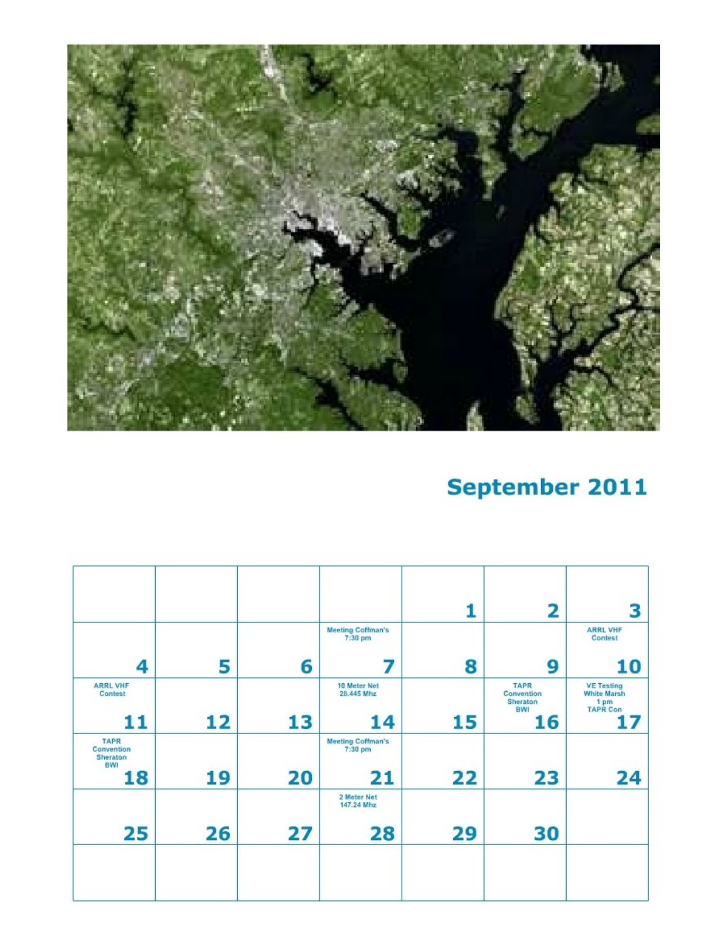

# September 2011

|                                              |    |    |                                     |    | $\overline{\mathbf{2}}$               | 3                                               |
|----------------------------------------------|----|----|-------------------------------------|----|---------------------------------------|-------------------------------------------------|
|                                              |    |    | <b>Meeting Coffman's</b><br>7:30 pm |    |                                       | <b>ARRL VHF</b><br>Contest                      |
| 4                                            | 5  | 6  | 7                                   | 8  | 9                                     | 10                                              |
| <b>ARRL VHF</b><br>Contest                   |    |    | 10 Meter Net<br>28.445 Mhz          |    | <b>TAPR</b><br>Convention<br>Sheraton | <b>VE Testing</b><br><b>White Marsh</b><br>1 pm |
| 11                                           | 12 | 13 | 14                                  | 15 | <b>BWI</b><br>16                      | <b>TAPR Con</b><br>17                           |
| <b>TAPR</b><br>Convention<br>Sheraton<br>BWI |    |    | <b>Meeting Coffman's</b><br>7:30 pm |    |                                       |                                                 |
| 18                                           | 19 | 20 | 21                                  | 22 | 23                                    | 24                                              |
|                                              |    |    | 2 Meter Net<br>147.24 Mhz           |    |                                       |                                                 |
| 25                                           | 26 | 27 | 28                                  | 29 | 30                                    |                                                 |
|                                              |    |    |                                     |    |                                       |                                                 |